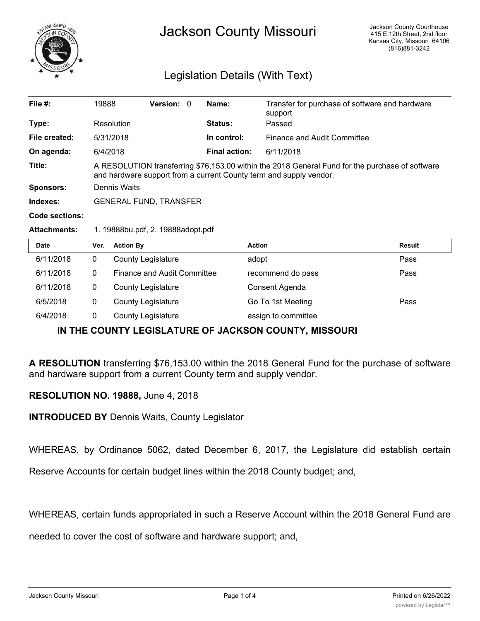

## Legislation Details (With Text)

| File $#$ :          | 19888                         |                                                                                                                                                                       | Version: 0         |  | Name:                | Transfer for purchase of software and hardware<br>support |               |  |
|---------------------|-------------------------------|-----------------------------------------------------------------------------------------------------------------------------------------------------------------------|--------------------|--|----------------------|-----------------------------------------------------------|---------------|--|
| Type:               |                               | Resolution                                                                                                                                                            |                    |  | <b>Status:</b>       | Passed                                                    |               |  |
| File created:       |                               | 5/31/2018                                                                                                                                                             |                    |  | In control:          | Finance and Audit Committee                               |               |  |
| On agenda:          |                               | 6/4/2018                                                                                                                                                              |                    |  | <b>Final action:</b> | 6/11/2018                                                 |               |  |
| Title:              |                               | A RESOLUTION transferring \$76,153.00 within the 2018 General Fund for the purchase of software<br>and hardware support from a current County term and supply vendor. |                    |  |                      |                                                           |               |  |
| <b>Sponsors:</b>    | Dennis Waits                  |                                                                                                                                                                       |                    |  |                      |                                                           |               |  |
| Indexes:            | <b>GENERAL FUND, TRANSFER</b> |                                                                                                                                                                       |                    |  |                      |                                                           |               |  |
| Code sections:      |                               |                                                                                                                                                                       |                    |  |                      |                                                           |               |  |
| <b>Attachments:</b> |                               | 1. 19888bu.pdf, 2. 19888adopt.pdf                                                                                                                                     |                    |  |                      |                                                           |               |  |
| <b>Date</b>         | Ver.                          | <b>Action By</b>                                                                                                                                                      |                    |  | <b>Action</b>        |                                                           | <b>Result</b> |  |
| 6/11/2018           | $\cap$                        |                                                                                                                                                                       | County Logiclature |  | adont                |                                                           | Docc          |  |

| 6/11/2018 | <b>County Legislature</b>   | adopt               | Pass |
|-----------|-----------------------------|---------------------|------|
| 6/11/2018 | Finance and Audit Committee | recommend do pass   | Pass |
| 6/11/2018 | <b>County Legislature</b>   | Consent Agenda      |      |
| 6/5/2018  | <b>County Legislature</b>   | Go To 1st Meeting   | Pass |
| 6/4/2018  | <b>County Legislature</b>   | assign to committee |      |

## **IN THE COUNTY LEGISLATURE OF JACKSON COUNTY, MISSOURI**

**A RESOLUTION** transferring \$76,153.00 within the 2018 General Fund for the purchase of software and hardware support from a current County term and supply vendor.

## **RESOLUTION NO. 19888,** June 4, 2018

**INTRODUCED BY** Dennis Waits, County Legislator

WHEREAS, by Ordinance 5062, dated December 6, 2017, the Legislature did establish certain

Reserve Accounts for certain budget lines within the 2018 County budget; and,

WHEREAS, certain funds appropriated in such a Reserve Account within the 2018 General Fund are

needed to cover the cost of software and hardware support; and,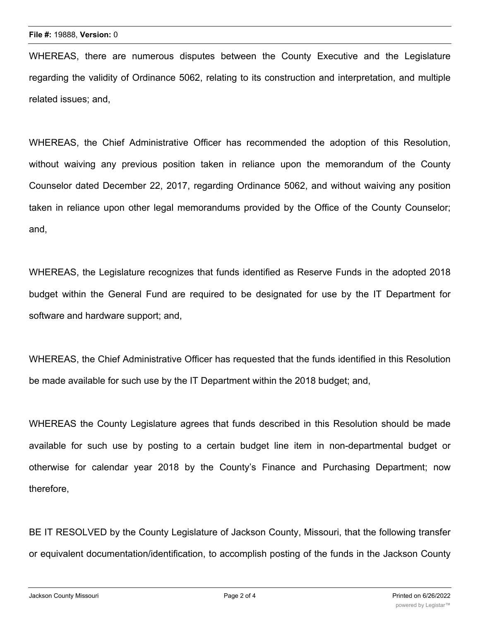WHEREAS, there are numerous disputes between the County Executive and the Legislature regarding the validity of Ordinance 5062, relating to its construction and interpretation, and multiple related issues; and,

WHEREAS, the Chief Administrative Officer has recommended the adoption of this Resolution, without waiving any previous position taken in reliance upon the memorandum of the County Counselor dated December 22, 2017, regarding Ordinance 5062, and without waiving any position taken in reliance upon other legal memorandums provided by the Office of the County Counselor; and,

WHEREAS, the Legislature recognizes that funds identified as Reserve Funds in the adopted 2018 budget within the General Fund are required to be designated for use by the IT Department for software and hardware support; and,

WHEREAS, the Chief Administrative Officer has requested that the funds identified in this Resolution be made available for such use by the IT Department within the 2018 budget; and,

WHEREAS the County Legislature agrees that funds described in this Resolution should be made available for such use by posting to a certain budget line item in non-departmental budget or otherwise for calendar year 2018 by the County's Finance and Purchasing Department; now therefore,

BE IT RESOLVED by the County Legislature of Jackson County, Missouri, that the following transfer or equivalent documentation/identification, to accomplish posting of the funds in the Jackson County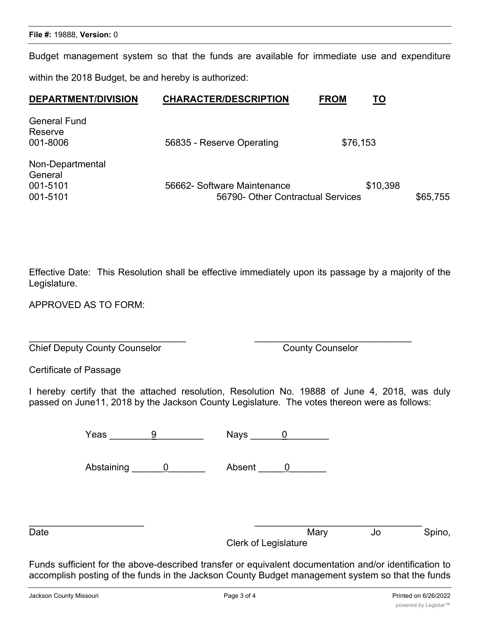Budget management system so that the funds are available for immediate use and expenditure within the 2018 Budget, be and hereby is authorized:

| <b>DEPARTMENT/DIVISION</b>                          | <b>CHARACTER/DESCRIPTION</b>                                     | <b>FROM</b> | TO       |          |
|-----------------------------------------------------|------------------------------------------------------------------|-------------|----------|----------|
| <b>General Fund</b><br>Reserve<br>001-8006          | 56835 - Reserve Operating                                        | \$76,153    |          |          |
| Non-Departmental<br>General<br>001-5101<br>001-5101 | 56662- Software Maintenance<br>56790- Other Contractual Services |             | \$10,398 | \$65,755 |

Effective Date: This Resolution shall be effective immediately upon its passage by a majority of the Legislature.

APPROVED AS TO FORM:

Chief Deputy County Counselor County Counselor

Certificate of Passage

I hereby certify that the attached resolution, Resolution No. 19888 of June 4, 2018, was duly passed on June11, 2018 by the Jackson County Legislature. The votes thereon were as follows:

| Yeas       | <b>Nays</b> |  |
|------------|-------------|--|
| Abstaining | Absent      |  |

 $\overline{\phantom{a}}$  , and the contribution of the contribution of the contribution of the contribution of the contribution of the contribution of the contribution of the contribution of the contribution of the contribution of the

 $\overline{\phantom{a}}$  , and the contract of the contract of the contract of the contract of the contract of the contract of the contract of the contract of the contract of the contract of the contract of the contract of the contrac Date **Date** Spino, **Date** Mary Mary 30 Spino, Clerk of Legislature

Funds sufficient for the above-described transfer or equivalent documentation and/or identification to accomplish posting of the funds in the Jackson County Budget management system so that the funds